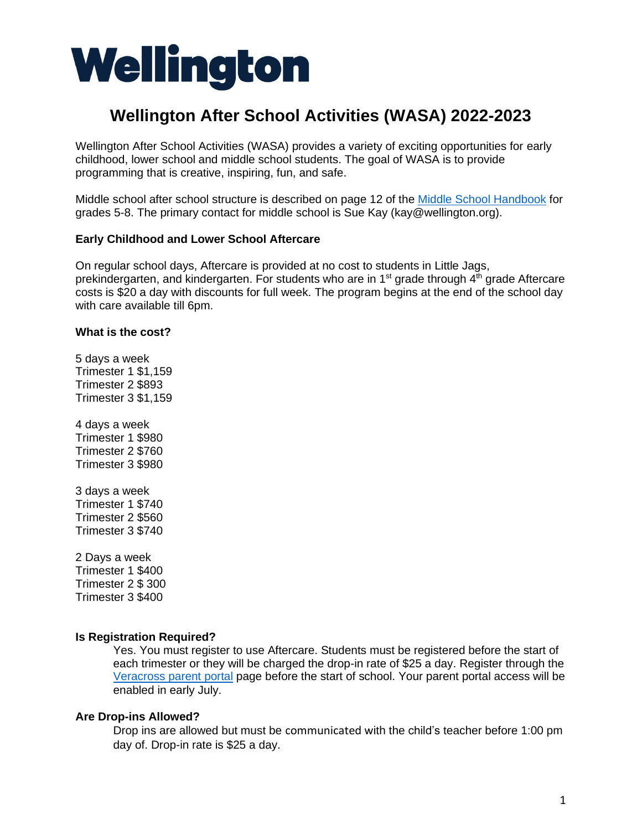# Wellington

# **Wellington After School Activities (WASA) 2022-2023**

Wellington After School Activities (WASA) provides a variety of exciting opportunities for early childhood, lower school and middle school students. The goal of WASA is to provide programming that is creative, inspiring, fun, and safe.

Middle school after school structure is described on page 12 of the [Middle School Handbook](https://www.wellington.org/sites/default/files/2022-05/MS%20Handbook%2022-23.pdf) for grades 5-8. The primary contact for middle school is Sue Kay (kay@wellington.org).

## **Early Childhood and Lower School Aftercare**

On regular school days, Aftercare is provided at no cost to students in Little Jags, prekindergarten, and kindergarten. For students who are in  $1<sup>st</sup>$  grade through  $4<sup>th</sup>$  grade Aftercare costs is \$20 a day with discounts for full week. The program begins at the end of the school day with care available till 6pm.

#### **What is the cost?**

5 days a week Trimester 1 \$1,159 Trimester 2 \$893 Trimester 3 \$1,159

4 days a week Trimester 1 \$980 Trimester 2 \$760 Trimester 3 \$980

- 3 days a week Trimester 1 \$740 Trimester 2 \$560 Trimester 3 \$740
- 2 Days a week Trimester 1 \$400 Trimester 2 \$ 300 Trimester 3 \$400

#### **Is Registration Required?**

Yes. You must register to use Aftercare. Students must be registered before the start of each trimester or they will be charged the drop-in rate of \$25 a day. Register through the [Veracross parent portal](https://news.veracross.com/tws/all-school/pages/wasa) page before the start of school. Your parent portal access will be enabled in early July.

## **Are Drop-ins Allowed?**

Drop ins are allowed but must be communicated with the child's teacher before 1:00 pm day of. Drop-in rate is \$25 a day.